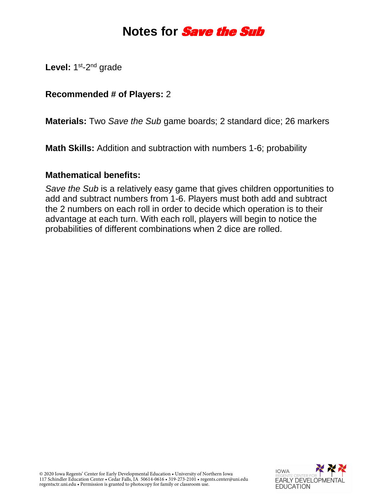# **Notes for Save the Sub**

Level: 1<sup>st</sup>-2<sup>nd</sup> grade

# **Recommended # of Players:** 2

**Materials:** Two *Save the Sub* game boards; 2 standard dice; 26 markers

**Math Skills:** Addition and subtraction with numbers 1-6; probability

### **Mathematical benefits:**

*Save the Sub* is a relatively easy game that gives children opportunities to add and subtract numbers from 1-6. Players must both add and subtract the 2 numbers on each roll in order to decide which operation is to their advantage at each turn. With each roll, players will begin to notice the probabilities of different combinations when 2 dice are rolled.

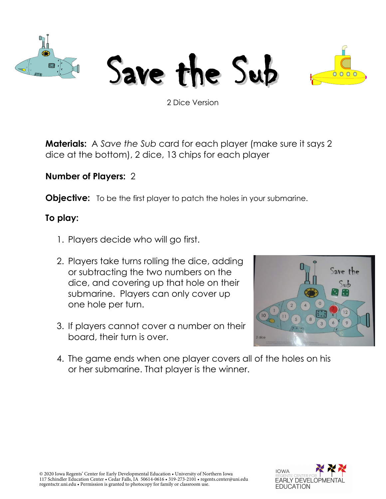

Save the Sub



2 Dice Version

**Materials:** A *Save the Sub* card for each player (make sure it says 2 dice at the bottom), 2 dice, 13 chips for each player

# **Number of Players:** 2

**Objective:** To be the first player to patch the holes in your submarine.

# **To play:**

- 1. Players decide who will go first.
- 2. Players take turns rolling the dice, adding or subtracting the two numbers on the dice, and covering up that hole on their submarine. Players can only cover up one hole per turn.
- 3. If players cannot cover a number on their board, their turn is over.



4. The game ends when one player covers all of the holes on his or her submarine. That player is the winner.

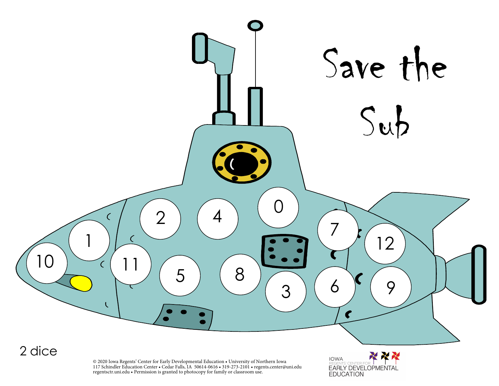

© 2020 Iowa Regents' Center for Early Developmental Education • University of Northern Iowa 117 Schindler Education Center • Cedar Falls, IA 50614-0616 • 319-273-2101 • regents.center@uni.edu regentsctr.uni.edu • Permission is granted to photocopy for family or classroom use.

XXX **IOWA EARLY DEVELOPMENTAL EDUCATION**